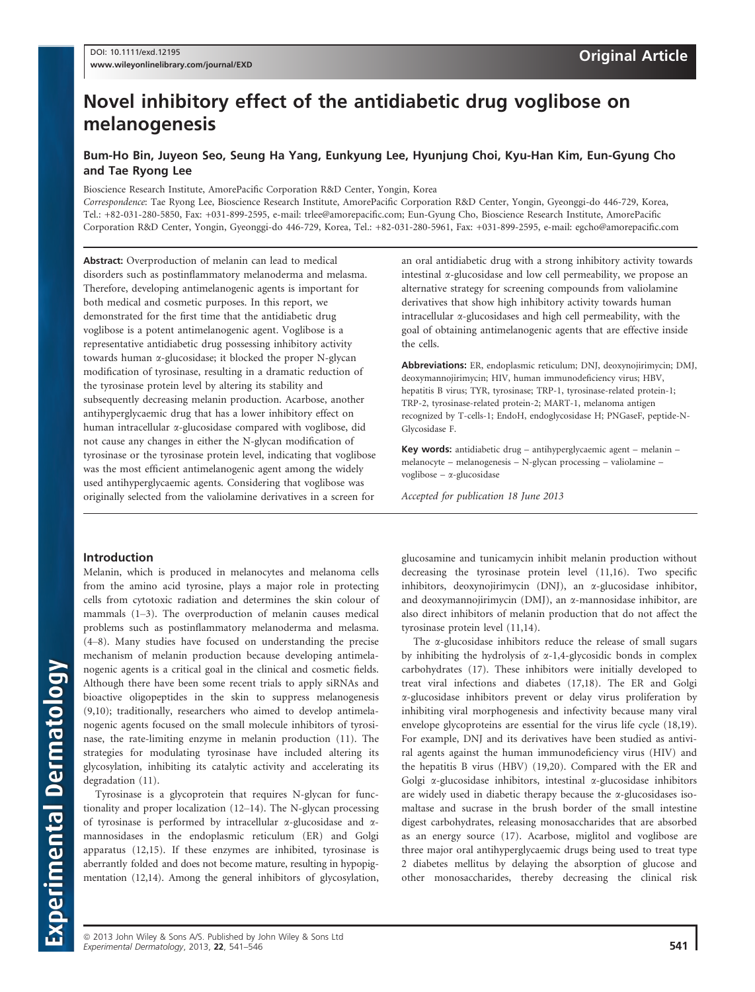# Novel inhibitory effect of the antidiabetic drug voglibose on melanogenesis

# Bum-Ho Bin, Juyeon Seo, Seung Ha Yang, Eunkyung Lee, Hyunjung Choi, Kyu-Han Kim, Eun-Gyung Cho and Tae Ryong Lee

Bioscience Research Institute, AmorePacific Corporation R&D Center, Yongin, Korea

Correspondence: Tae Ryong Lee, Bioscience Research Institute, AmorePacific Corporation R&D Center, Yongin, Gyeonggi-do 446-729, Korea, Tel.: +82-031-280-5850, Fax: +031-899-2595, e-mail: trlee@amorepacific.com; Eun-Gyung Cho, Bioscience Research Institute, AmorePacific Corporation R&D Center, Yongin, Gyeonggi-do 446-729, Korea, Tel.: +82-031-280-5961, Fax: +031-899-2595, e-mail: egcho@amorepacific.com

Abstract: Overproduction of melanin can lead to medical disorders such as postinflammatory melanoderma and melasma. Therefore, developing antimelanogenic agents is important for both medical and cosmetic purposes. In this report, we demonstrated for the first time that the antidiabetic drug voglibose is a potent antimelanogenic agent. Voglibose is a representative antidiabetic drug possessing inhibitory activity towards human a-glucosidase; it blocked the proper N-glycan modification of tyrosinase, resulting in a dramatic reduction of the tyrosinase protein level by altering its stability and subsequently decreasing melanin production. Acarbose, another antihyperglycaemic drug that has a lower inhibitory effect on human intracellular *x*-glucosidase compared with voglibose, did not cause any changes in either the N-glycan modification of tyrosinase or the tyrosinase protein level, indicating that voglibose was the most efficient antimelanogenic agent among the widely used antihyperglycaemic agents. Considering that voglibose was originally selected from the valiolamine derivatives in a screen for

an oral antidiabetic drug with a strong inhibitory activity towards intestinal  $\alpha$ -glucosidase and low cell permeability, we propose an alternative strategy for screening compounds from valiolamine derivatives that show high inhibitory activity towards human intracellular a-glucosidases and high cell permeability, with the goal of obtaining antimelanogenic agents that are effective inside the cells.

Abbreviations: ER, endoplasmic reticulum; DNJ, deoxynojirimycin; DMJ, deoxymannojirimycin; HIV, human immunodeficiency virus; HBV, hepatitis B virus; TYR, tyrosinase; TRP-1, tyrosinase-related protein-1; TRP-2, tyrosinase-related protein-2; MART-1, melanoma antigen recognized by T-cells-1; EndoH, endoglycosidase H; PNGaseF, peptide-N-Glycosidase F.

Key words: antidiabetic drug – antihyperglycaemic agent – melanin – melanocyte – melanogenesis – N-glycan processing – valiolamine – voglibose –  $\alpha$ -glucosidase

Accepted for publication 18 June 2013

# Introduction

Melanin, which is produced in melanocytes and melanoma cells from the amino acid tyrosine, plays a major role in protecting cells from cytotoxic radiation and determines the skin colour of mammals (1–3). The overproduction of melanin causes medical problems such as postinflammatory melanoderma and melasma. (4–8). Many studies have focused on understanding the precise mechanism of melanin production because developing antimelanogenic agents is a critical goal in the clinical and cosmetic fields. Although there have been some recent trials to apply siRNAs and bioactive oligopeptides in the skin to suppress melanogenesis (9,10); traditionally, researchers who aimed to develop antimelanogenic agents focused on the small molecule inhibitors of tyrosinase, the rate-limiting enzyme in melanin production (11). The strategies for modulating tyrosinase have included altering its glycosylation, inhibiting its catalytic activity and accelerating its degradation (11).

Tyrosinase is a glycoprotein that requires N-glycan for functionality and proper localization (12–14). The N-glycan processing of tyrosinase is performed by intracellular  $\alpha$ -glucosidase and  $\alpha$ mannosidases in the endoplasmic reticulum (ER) and Golgi apparatus (12,15). If these enzymes are inhibited, tyrosinase is aberrantly folded and does not become mature, resulting in hypopigmentation (12,14). Among the general inhibitors of glycosylation,

glucosamine and tunicamycin inhibit melanin production without decreasing the tyrosinase protein level (11,16). Two specific inhibitors, deoxynojirimycin (DNJ), an  $\alpha$ -glucosidase inhibitor, and deoxymannojirimycin (DMJ), an  $\alpha$ -mannosidase inhibitor, are also direct inhibitors of melanin production that do not affect the tyrosinase protein level (11,14).

The  $\alpha$ -glucosidase inhibitors reduce the release of small sugars by inhibiting the hydrolysis of  $\alpha$ -1,4-glycosidic bonds in complex carbohydrates (17). These inhibitors were initially developed to treat viral infections and diabetes (17,18). The ER and Golgi a-glucosidase inhibitors prevent or delay virus proliferation by inhibiting viral morphogenesis and infectivity because many viral envelope glycoproteins are essential for the virus life cycle (18,19). For example, DNJ and its derivatives have been studied as antiviral agents against the human immunodeficiency virus (HIV) and the hepatitis B virus (HBV) (19,20). Compared with the ER and Golgi  $\alpha$ -glucosidase inhibitors, intestinal  $\alpha$ -glucosidase inhibitors are widely used in diabetic therapy because the  $\alpha$ -glucosidases isomaltase and sucrase in the brush border of the small intestine digest carbohydrates, releasing monosaccharides that are absorbed as an energy source (17). Acarbose, miglitol and voglibose are three major oral antihyperglycaemic drugs being used to treat type 2 diabetes mellitus by delaying the absorption of glucose and other monosaccharides, thereby decreasing the clinical risk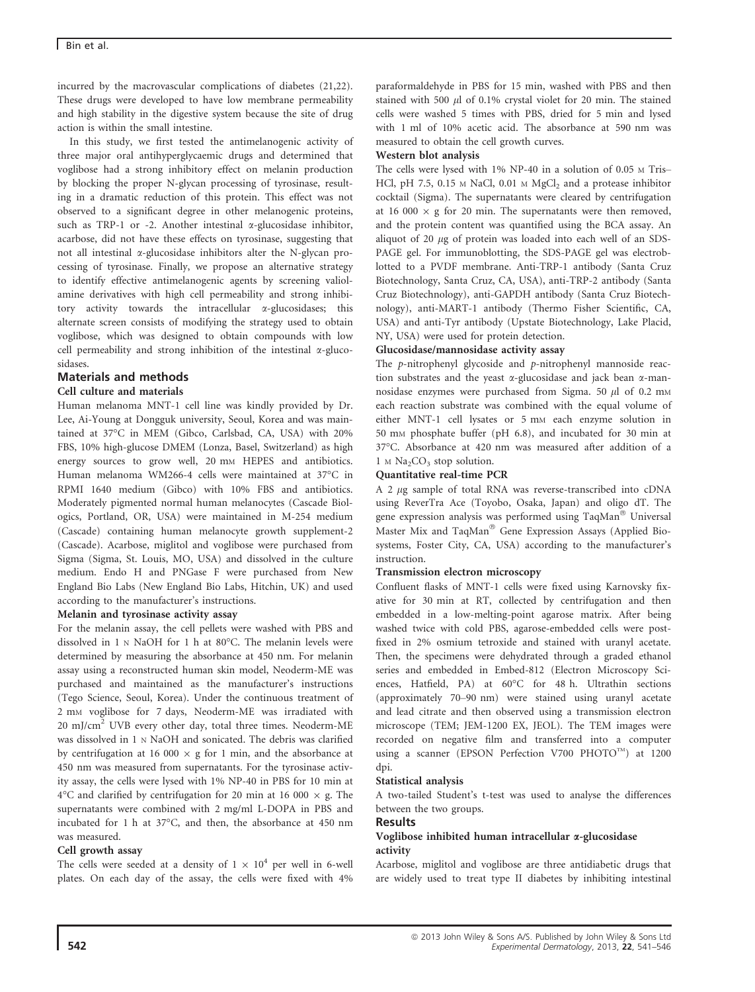## Bin et al.

incurred by the macrovascular complications of diabetes (21,22). These drugs were developed to have low membrane permeability and high stability in the digestive system because the site of drug action is within the small intestine.

In this study, we first tested the antimelanogenic activity of three major oral antihyperglycaemic drugs and determined that voglibose had a strong inhibitory effect on melanin production by blocking the proper N-glycan processing of tyrosinase, resulting in a dramatic reduction of this protein. This effect was not observed to a significant degree in other melanogenic proteins, such as TRP-1 or -2. Another intestinal  $\alpha$ -glucosidase inhibitor, acarbose, did not have these effects on tyrosinase, suggesting that not all intestinal  $\alpha$ -glucosidase inhibitors alter the N-glycan processing of tyrosinase. Finally, we propose an alternative strategy to identify effective antimelanogenic agents by screening valiolamine derivatives with high cell permeability and strong inhibitory activity towards the intracellular a-glucosidases; this alternate screen consists of modifying the strategy used to obtain voglibose, which was designed to obtain compounds with low cell permeability and strong inhibition of the intestinal  $\alpha$ -glucosidases.

# Materials and methods

### Cell culture and materials

Human melanoma MNT-1 cell line was kindly provided by Dr. Lee, Ai-Young at Dongguk university, Seoul, Korea and was maintained at 37°C in MEM (Gibco, Carlsbad, CA, USA) with 20% FBS, 10% high-glucose DMEM (Lonza, Basel, Switzerland) as high energy sources to grow well, 20 mm HEPES and antibiotics. Human melanoma WM266-4 cells were maintained at 37°C in RPMI 1640 medium (Gibco) with 10% FBS and antibiotics. Moderately pigmented normal human melanocytes (Cascade Biologics, Portland, OR, USA) were maintained in M-254 medium (Cascade) containing human melanocyte growth supplement-2 (Cascade). Acarbose, miglitol and voglibose were purchased from Sigma (Sigma, St. Louis, MO, USA) and dissolved in the culture medium. Endo H and PNGase F were purchased from New England Bio Labs (New England Bio Labs, Hitchin, UK) and used according to the manufacturer's instructions.

### Melanin and tyrosinase activity assay

For the melanin assay, the cell pellets were washed with PBS and dissolved in 1 <sup>N</sup> NaOH for 1 h at 80°C. The melanin levels were determined by measuring the absorbance at 450 nm. For melanin assay using a reconstructed human skin model, Neoderm-ME was purchased and maintained as the manufacturer's instructions (Tego Science, Seoul, Korea). Under the continuous treatment of 2 mM voglibose for 7 days, Neoderm-ME was irradiated with  $20 \text{ mJ/cm}^2$  UVB every other day, total three times. Neoderm-ME was dissolved in 1 <sup>N</sup> NaOH and sonicated. The debris was clarified by centrifugation at 16 000  $\times$  g for 1 min, and the absorbance at 450 nm was measured from supernatants. For the tyrosinase activity assay, the cells were lysed with 1% NP-40 in PBS for 10 min at 4°C and clarified by centrifugation for 20 min at 16 000  $\times$  g. The supernatants were combined with 2 mg/ml L-DOPA in PBS and incubated for 1 h at 37°C, and then, the absorbance at 450 nm was measured.

### Cell growth assay

The cells were seeded at a density of  $1 \times 10^4$  per well in 6-well plates. On each day of the assay, the cells were fixed with 4%

paraformaldehyde in PBS for 15 min, washed with PBS and then stained with 500  $\mu$ l of 0.1% crystal violet for 20 min. The stained cells were washed 5 times with PBS, dried for 5 min and lysed with 1 ml of 10% acetic acid. The absorbance at 590 nm was measured to obtain the cell growth curves.

#### Western blot analysis

The cells were lysed with 1% NP-40 in a solution of 0.05 <sup>M</sup> Tris– HCl, pH 7.5, 0.15  $\text{M}$  NaCl, 0.01  $\text{M}$  MgCl<sub>2</sub> and a protease inhibitor cocktail (Sigma). The supernatants were cleared by centrifugation at 16 000  $\times$  g for 20 min. The supernatants were then removed, and the protein content was quantified using the BCA assay. An aliquot of 20  $\mu$ g of protein was loaded into each well of an SDS-PAGE gel. For immunoblotting, the SDS-PAGE gel was electroblotted to a PVDF membrane. Anti-TRP-1 antibody (Santa Cruz Biotechnology, Santa Cruz, CA, USA), anti-TRP-2 antibody (Santa Cruz Biotechnology), anti-GAPDH antibody (Santa Cruz Biotechnology), anti-MART-1 antibody (Thermo Fisher Scientific, CA, USA) and anti-Tyr antibody (Upstate Biotechnology, Lake Placid, NY, USA) were used for protein detection.

### Glucosidase/mannosidase activity assay

The p-nitrophenyl glycoside and p-nitrophenyl mannoside reaction substrates and the yeast a-glucosidase and jack bean a-mannosidase enzymes were purchased from Sigma. 50  $\mu$ l of 0.2 mm each reaction substrate was combined with the equal volume of either MNT-1 cell lysates or 5 mm each enzyme solution in 50 mM phosphate buffer (pH 6.8), and incubated for 30 min at 37°C. Absorbance at 420 nm was measured after addition of a  $1 M Na<sub>2</sub>CO<sub>3</sub> stop solution.$ 

### Quantitative real-time PCR

A 2 µg sample of total RNA was reverse-transcribed into cDNA using ReverTra Ace (Toyobo, Osaka, Japan) and oligo dT. The gene expression analysis was performed using TaqMan® Universal Master Mix and TaqMan® Gene Expression Assays (Applied Biosystems, Foster City, CA, USA) according to the manufacturer's instruction.

### Transmission electron microscopy

Confluent flasks of MNT-1 cells were fixed using Karnovsky fixative for 30 min at RT, collected by centrifugation and then embedded in a low-melting-point agarose matrix. After being washed twice with cold PBS, agarose-embedded cells were postfixed in 2% osmium tetroxide and stained with uranyl acetate. Then, the specimens were dehydrated through a graded ethanol series and embedded in Embed-812 (Electron Microscopy Sciences, Hatfield, PA) at 60°C for 48 h. Ultrathin sections (approximately 70–90 nm) were stained using uranyl acetate and lead citrate and then observed using a transmission electron microscope (TEM; JEM-1200 EX, JEOL). The TEM images were recorded on negative film and transferred into a computer using a scanner (EPSON Perfection V700 PHOTO<sup>TM</sup>) at 1200 dpi.

### Statistical analysis

A two-tailed Student's t-test was used to analyse the differences between the two groups.

#### Results

#### Voglibose inhibited human intracellular a-glucosidase activity

Acarbose, miglitol and voglibose are three antidiabetic drugs that are widely used to treat type II diabetes by inhibiting intestinal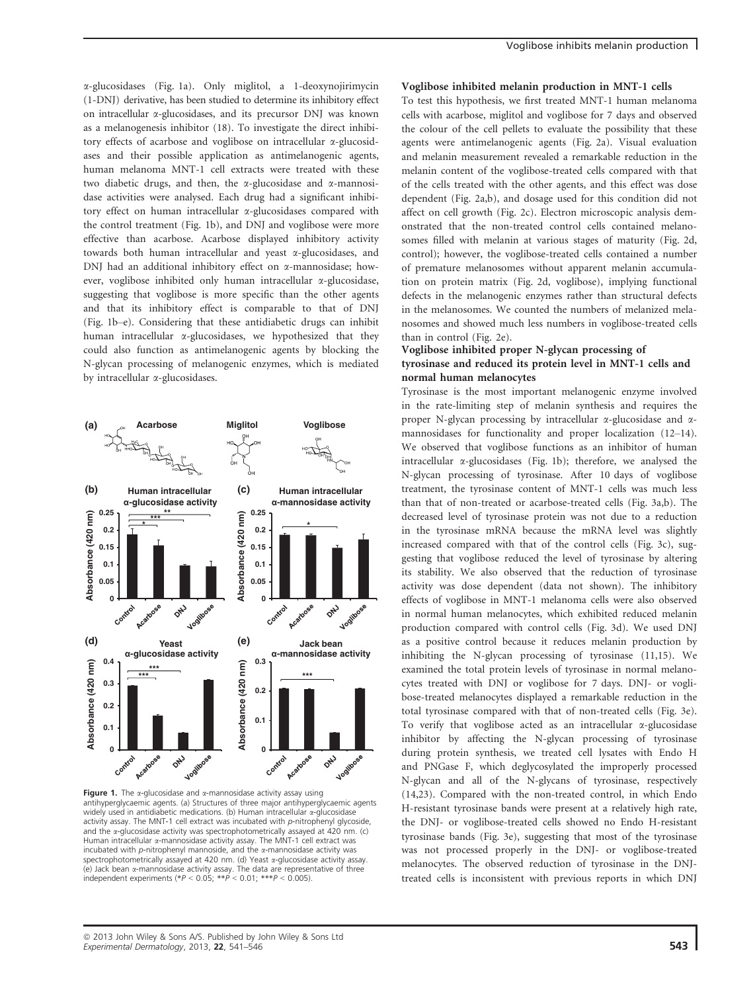a-glucosidases (Fig. 1a). Only miglitol, a 1-deoxynojirimycin (1-DNJ) derivative, has been studied to determine its inhibitory effect on intracellular a-glucosidases, and its precursor DNJ was known as a melanogenesis inhibitor (18). To investigate the direct inhibitory effects of acarbose and voglibose on intracellular a-glucosidases and their possible application as antimelanogenic agents, human melanoma MNT-1 cell extracts were treated with these two diabetic drugs, and then, the  $\alpha$ -glucosidase and  $\alpha$ -mannosidase activities were analysed. Each drug had a significant inhibitory effect on human intracellular a-glucosidases compared with the control treatment (Fig. 1b), and DNJ and voglibose were more effective than acarbose. Acarbose displayed inhibitory activity towards both human intracellular and yeast a-glucosidases, and DNJ had an additional inhibitory effect on  $\alpha$ -mannosidase; however, voglibose inhibited only human intracellular a-glucosidase, suggesting that voglibose is more specific than the other agents and that its inhibitory effect is comparable to that of DNJ (Fig. 1b–e). Considering that these antidiabetic drugs can inhibit human intracellular a-glucosidases, we hypothesized that they could also function as antimelanogenic agents by blocking the N-glycan processing of melanogenic enzymes, which is mediated by intracellular a-glucosidases.



Figure 1. The  $\alpha$ -glucosidase and  $\alpha$ -mannosidase activity assay using antihyperglycaemic agents. (a) Structures of three major antihyperglycaemic agents widely used in antidiabetic medications. (b) Human intracellular *a*-glucosidase activity assay. The MNT-1 cell extract was incubated with p-nitrophenyl glycoside, and the  $\alpha$ -glucosidase activity was spectrophotometrically assayed at 420 nm. (c) Human intracellular  $\alpha$ -mannosidase activity assay. The MNT-1 cell extract was incubated with  $p$ -nitrophenyl mannoside, and the  $\alpha$ -mannosidase activity was spectrophotometrically assayed at 420 nm. (d) Yeast *a*-glucosidase activity assay. (e) Jack bean a-mannosidase activity assay. The data are representative of three independent experiments (\* $P < 0.05$ ; \*\* $P < 0.01$ ; \*\*\* $P < 0.005$ )

#### Voglibose inhibited melanin production in MNT-1 cells

To test this hypothesis, we first treated MNT-1 human melanoma cells with acarbose, miglitol and voglibose for 7 days and observed the colour of the cell pellets to evaluate the possibility that these agents were antimelanogenic agents (Fig. 2a). Visual evaluation and melanin measurement revealed a remarkable reduction in the melanin content of the voglibose-treated cells compared with that of the cells treated with the other agents, and this effect was dose dependent (Fig. 2a,b), and dosage used for this condition did not affect on cell growth (Fig. 2c). Electron microscopic analysis demonstrated that the non-treated control cells contained melanosomes filled with melanin at various stages of maturity (Fig. 2d, control); however, the voglibose-treated cells contained a number of premature melanosomes without apparent melanin accumulation on protein matrix (Fig. 2d, voglibose), implying functional defects in the melanogenic enzymes rather than structural defects in the melanosomes. We counted the numbers of melanized melanosomes and showed much less numbers in voglibose-treated cells than in control (Fig. 2e).

#### Voglibose inhibited proper N-glycan processing of tyrosinase and reduced its protein level in MNT-1 cells and normal human melanocytes

Tyrosinase is the most important melanogenic enzyme involved in the rate-limiting step of melanin synthesis and requires the proper N-glycan processing by intracellular  $\alpha$ -glucosidase and  $\alpha$ mannosidases for functionality and proper localization (12–14). We observed that voglibose functions as an inhibitor of human intracellular a-glucosidases (Fig. 1b); therefore, we analysed the N-glycan processing of tyrosinase. After 10 days of voglibose treatment, the tyrosinase content of MNT-1 cells was much less than that of non-treated or acarbose-treated cells (Fig. 3a,b). The decreased level of tyrosinase protein was not due to a reduction in the tyrosinase mRNA because the mRNA level was slightly increased compared with that of the control cells (Fig. 3c), suggesting that voglibose reduced the level of tyrosinase by altering its stability. We also observed that the reduction of tyrosinase activity was dose dependent (data not shown). The inhibitory effects of voglibose in MNT-1 melanoma cells were also observed in normal human melanocytes, which exhibited reduced melanin production compared with control cells (Fig. 3d). We used DNJ as a positive control because it reduces melanin production by inhibiting the N-glycan processing of tyrosinase (11,15). We examined the total protein levels of tyrosinase in normal melanocytes treated with DNJ or voglibose for 7 days. DNJ- or voglibose-treated melanocytes displayed a remarkable reduction in the total tyrosinase compared with that of non-treated cells (Fig. 3e). To verify that voglibose acted as an intracellular  $\alpha$ -glucosidase inhibitor by affecting the N-glycan processing of tyrosinase during protein synthesis, we treated cell lysates with Endo H and PNGase F, which deglycosylated the improperly processed N-glycan and all of the N-glycans of tyrosinase, respectively (14,23). Compared with the non-treated control, in which Endo H-resistant tyrosinase bands were present at a relatively high rate, the DNJ- or voglibose-treated cells showed no Endo H-resistant tyrosinase bands (Fig. 3e), suggesting that most of the tyrosinase was not processed properly in the DNJ- or voglibose-treated melanocytes. The observed reduction of tyrosinase in the DNJtreated cells is inconsistent with previous reports in which DNJ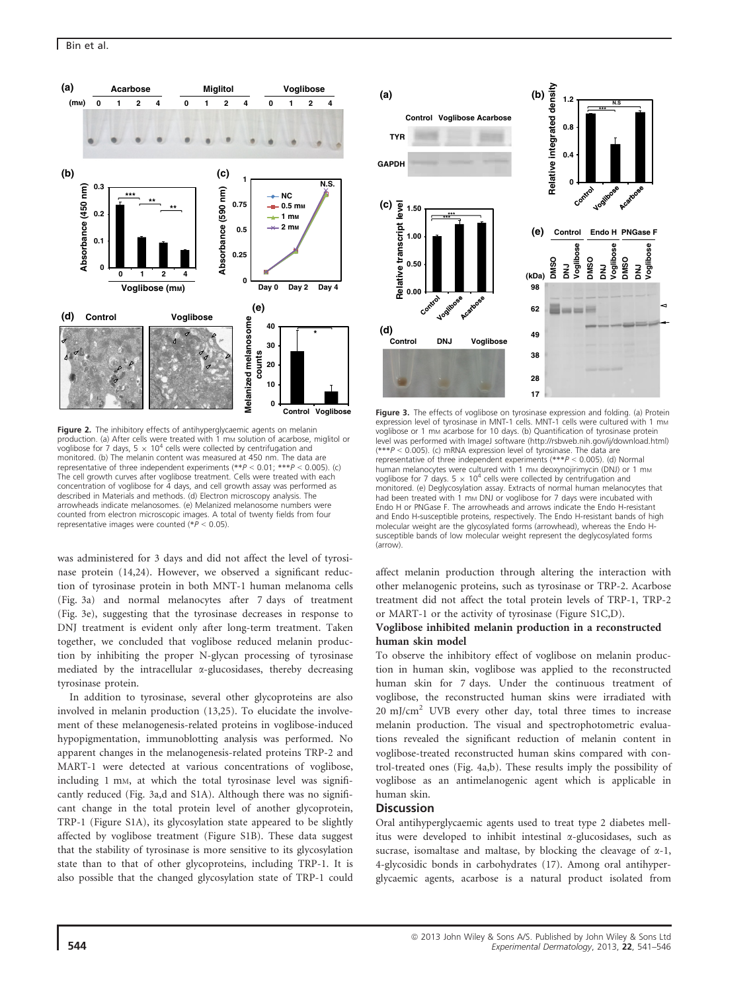

Figure 2. The inhibitory effects of antihyperglycaemic agents on melanin production. (a) After cells were treated with 1 mm solution of acarbose, miglitol or voglibose for 7 days, 5  $\times$  10<sup>4</sup> cells were collected by centrifugation and monitored. (b) The melanin content was measured at 450 nm. The data are representative of three independent experiments  $(**P < 0.01: **P < 0.005)$ . (c) representative of three independent experiments (\*\*P <sup>&</sup>lt; 0.01; \*\*\*P <sup>&</sup>lt; 0.005). (c) The cell growth curves after voglibose treatment. Cells were treated with each concentration of voglibose for  $\frac{3}{4}$  days, and cell growth assay was performed as described in Materials and methods. (d) Electron microscopy analysis. The arrowheads indicate melanosomes. (e) Melanized melanosome numbers were counted from electron microscopic images. A total of twenty fields from four representative images were counted (\*P <sup>&</sup>lt; 0.05).

was administered for 3 days and did not affect the level of tyrosinase protein (14,24). However, we observed a significant reduction of tyrosinase protein in both MNT-1 human melanoma cells (Fig. 3a) and normal melanocytes after 7 days of treatment (Fig. 3e), suggesting that the tyrosinase decreases in response to DNJ treatment is evident only after long-term treatment. Taken together, we concluded that voglibose reduced melanin production by inhibiting the proper N-glycan processing of tyrosinase mediated by the intracellular  $\alpha$ -glucosidases, thereby decreasing tyrosinase protein.

In addition to tyrosinase, several other glycoproteins are also involved in melanin production (13,25). To elucidate the involvement of these melanogenesis-related proteins in voglibose-induced hypopigmentation, immunoblotting analysis was performed. No apparent changes in the melanogenesis-related proteins TRP-2 and MART-1 were detected at various concentrations of voglibose, including 1 mM, at which the total tyrosinase level was significantly reduced (Fig. 3a,d and S1A). Although there was no significant change in the total protein level of another glycoprotein, TRP-1 (Figure S1A), its glycosylation state appeared to be slightly affected by voglibose treatment (Figure S1B). These data suggest that the stability of tyrosinase is more sensitive to its glycosylation state than to that of other glycoproteins, including TRP-1. It is also possible that the changed glycosylation state of TRP-1 could



Figure 3. The effects of voglibose on tyrosinase expression and folding. (a) Protein expression level of tyrosinase in MNT-1 cells. MNT-1 cells were cultured with 1 mm voglibose or 1 mm acarbose for 10 days. (b) Quantification of tyrosinase protein level was performed with ImageJ software (http://rsbweb.nih.gov/ij/download.html)<br>(\*\*\*P < 0.005). (c) mRNA expression level of tyrosinase. The data are representative of three independent experiments  $(*^{**}P < 0.005)$ . (d) Normal representative of three independent experiments (\*\*\*P < 0.005). (d) Normal<br>human melanocytes were cultured with 1 mm deoxynojirimycin (DNJ) or 1 mm voglibose for 7 days. 5  $\times$  10<sup>4</sup> cells were collected by centrifugation and monitored. (e) Deglycosylation assay. Extracts of normal human melanocytes that had been treated with 1 mm DNJ or voglibose for 7 days were incubated with Endo H or PNGase F. The arrowheads and arrows indicate the Endo H-resistant and Endo H-susceptible proteins, respectively. The Endo H-resistant bands of high molecular weight are the glycosylated forms (arrowhead), whereas the Endo Hsusceptible bands of low molecular weight represent the deglycosylated forms (arrow).

affect melanin production through altering the interaction with other melanogenic proteins, such as tyrosinase or TRP-2. Acarbose treatment did not affect the total protein levels of TRP-1, TRP-2 or MART-1 or the activity of tyrosinase (Figure S1C,D).

#### Voglibose inhibited melanin production in a reconstructed human skin model

To observe the inhibitory effect of voglibose on melanin production in human skin, voglibose was applied to the reconstructed human skin for 7 days. Under the continuous treatment of voglibose, the reconstructed human skins were irradiated with  $20 \text{ mJ/cm}^2$  UVB every other day, total three times to increase melanin production. The visual and spectrophotometric evaluations revealed the significant reduction of melanin content in voglibose-treated reconstructed human skins compared with control-treated ones (Fig. 4a,b). These results imply the possibility of voglibose as an antimelanogenic agent which is applicable in human skin.

## **Discussion**

Oral antihyperglycaemic agents used to treat type 2 diabetes mellitus were developed to inhibit intestinal  $\alpha$ -glucosidases, such as sucrase, isomaltase and maltase, by blocking the cleavage of  $\alpha$ -1, 4-glycosidic bonds in carbohydrates (17). Among oral antihyperglycaemic agents, acarbose is a natural product isolated from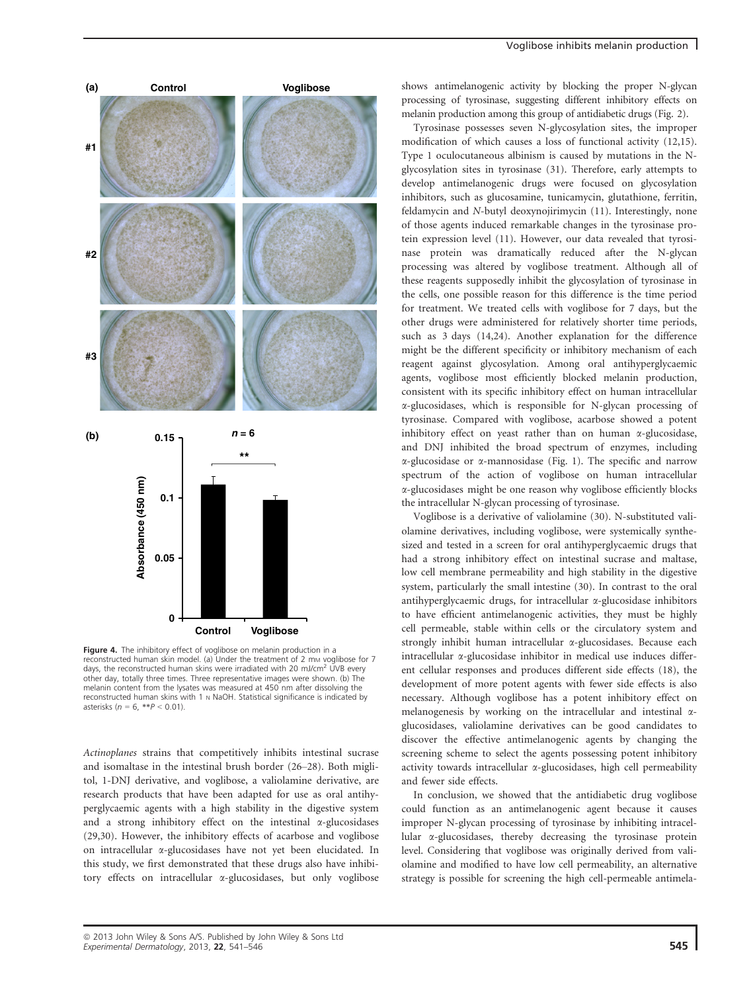

Figure 4. The inhibitory effect of voglibose on melanin production in a reconstructed human skin model. (a) Under the treatment of 2 mm voglibose for 7 days, the reconstructed human skins were irradiated with 20 mJ/cm<sup>2</sup> UVB every other day, totally three times. Three representative images were shown. (b) The melanin content from the lysates was measured at 450 nm after dissolving the reconstructed human skins with 1 N NaOH. Statistical significance is indicated by asterisks ( $n = 6$ , \*\* $P < 0.01$ )

Actinoplanes strains that competitively inhibits intestinal sucrase and isomaltase in the intestinal brush border (26–28). Both miglitol, 1-DNJ derivative, and voglibose, a valiolamine derivative, are research products that have been adapted for use as oral antihyperglycaemic agents with a high stability in the digestive system and a strong inhibitory effect on the intestinal  $\alpha$ -glucosidases (29,30). However, the inhibitory effects of acarbose and voglibose on intracellular a-glucosidases have not yet been elucidated. In this study, we first demonstrated that these drugs also have inhibitory effects on intracellular a-glucosidases, but only voglibose

#### Voglibose inhibits melanin production

shows antimelanogenic activity by blocking the proper N-glycan processing of tyrosinase, suggesting different inhibitory effects on melanin production among this group of antidiabetic drugs (Fig. 2).

Tyrosinase possesses seven N-glycosylation sites, the improper modification of which causes a loss of functional activity (12,15). Type 1 oculocutaneous albinism is caused by mutations in the Nglycosylation sites in tyrosinase (31). Therefore, early attempts to develop antimelanogenic drugs were focused on glycosylation inhibitors, such as glucosamine, tunicamycin, glutathione, ferritin, feldamycin and N-butyl deoxynojirimycin (11). Interestingly, none of those agents induced remarkable changes in the tyrosinase protein expression level (11). However, our data revealed that tyrosinase protein was dramatically reduced after the N-glycan processing was altered by voglibose treatment. Although all of these reagents supposedly inhibit the glycosylation of tyrosinase in the cells, one possible reason for this difference is the time period for treatment. We treated cells with voglibose for 7 days, but the other drugs were administered for relatively shorter time periods, such as 3 days (14,24). Another explanation for the difference might be the different specificity or inhibitory mechanism of each reagent against glycosylation. Among oral antihyperglycaemic agents, voglibose most efficiently blocked melanin production, consistent with its specific inhibitory effect on human intracellular a-glucosidases, which is responsible for N-glycan processing of tyrosinase. Compared with voglibose, acarbose showed a potent inhibitory effect on yeast rather than on human  $\alpha$ -glucosidase, and DNJ inhibited the broad spectrum of enzymes, including  $\alpha$ -glucosidase or  $\alpha$ -mannosidase (Fig. 1). The specific and narrow spectrum of the action of voglibose on human intracellular a-glucosidases might be one reason why voglibose efficiently blocks the intracellular N-glycan processing of tyrosinase.

Voglibose is a derivative of valiolamine (30). N-substituted valiolamine derivatives, including voglibose, were systemically synthesized and tested in a screen for oral antihyperglycaemic drugs that had a strong inhibitory effect on intestinal sucrase and maltase, low cell membrane permeability and high stability in the digestive system, particularly the small intestine (30). In contrast to the oral antihyperglycaemic drugs, for intracellular  $\alpha$ -glucosidase inhibitors to have efficient antimelanogenic activities, they must be highly cell permeable, stable within cells or the circulatory system and strongly inhibit human intracellular a-glucosidases. Because each intracellular a-glucosidase inhibitor in medical use induces different cellular responses and produces different side effects (18), the development of more potent agents with fewer side effects is also necessary. Although voglibose has a potent inhibitory effect on melanogenesis by working on the intracellular and intestinal  $\alpha$ glucosidases, valiolamine derivatives can be good candidates to discover the effective antimelanogenic agents by changing the screening scheme to select the agents possessing potent inhibitory activity towards intracellular  $\alpha$ -glucosidases, high cell permeability and fewer side effects.

In conclusion, we showed that the antidiabetic drug voglibose could function as an antimelanogenic agent because it causes improper N-glycan processing of tyrosinase by inhibiting intracellular a-glucosidases, thereby decreasing the tyrosinase protein level. Considering that voglibose was originally derived from valiolamine and modified to have low cell permeability, an alternative strategy is possible for screening the high cell-permeable antimela-